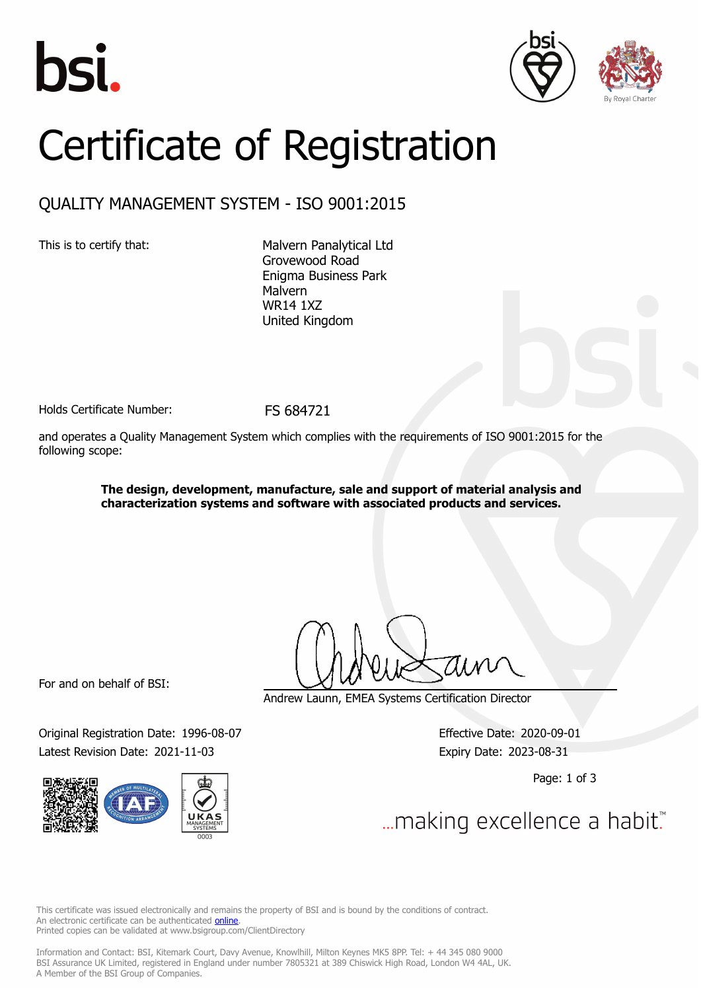





## Certificate of Registration

## QUALITY MANAGEMENT SYSTEM - ISO 9001:2015

This is to certify that: Malvern Panalytical Ltd Grovewood Road Enigma Business Park Malvern WR14 1XZ United Kingdom

Holds Certificate Number: FS 684721

and operates a Quality Management System which complies with the requirements of ISO 9001:2015 for the following scope:

> **The design, development, manufacture, sale and support of material analysis and characterization systems and software with associated products and services.**

For and on behalf of BSI:

Original Registration Date: 1996-08-07 Effective Date: 2020-09-01 Latest Revision Date: 2021-11-03 Expiry Date: 2023-08-31



Andrew Launn, EMEA Systems Certification Director

Page: 1 of 3

... making excellence a habit.

This certificate was issued electronically and remains the property of BSI and is bound by the conditions of contract. An electronic certificate can be authenticated **[online](https://pgplus.bsigroup.com/CertificateValidation/CertificateValidator.aspx?CertificateNumber=FS+684721&ReIssueDate=03%2f11%2f2021&Template=uk)**. Printed copies can be validated at www.bsigroup.com/ClientDirectory

Information and Contact: BSI, Kitemark Court, Davy Avenue, Knowlhill, Milton Keynes MK5 8PP. Tel: + 44 345 080 9000 BSI Assurance UK Limited, registered in England under number 7805321 at 389 Chiswick High Road, London W4 4AL, UK. A Member of the BSI Group of Companies.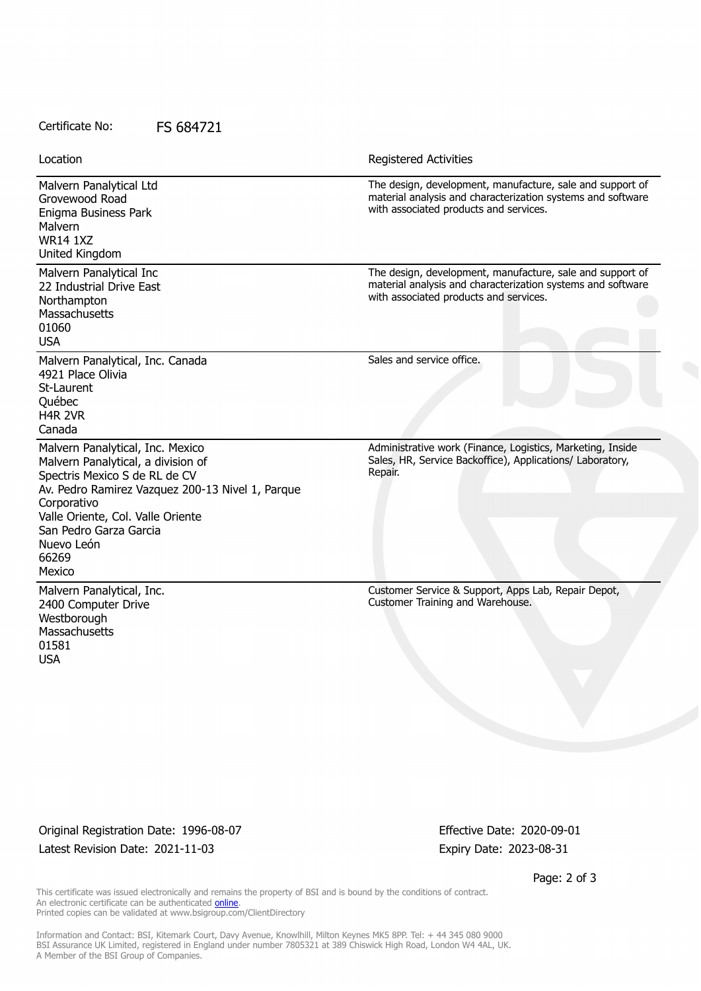## Certificate No: FS 684721

Malvern Panalytical Ltd Grovewood Road Enigma Business Park Malvern WR14 1XZ United Kingdom The design, development, manufacture, sale and support of material analysis and characterization systems and software with associated products and services. Malvern Panalytical Inc 22 Industrial Drive East Northampton **Massachusetts** 01060 USA The design, development, manufacture, sale and support of material analysis and characterization systems and software with associated products and services. Malvern Panalytical, Inc. Canada 4921 Place Olivia St-Laurent Québec H4R 2VR Canada Sales and service office. Malvern Panalytical, Inc. Mexico Malvern Panalytical, a division of Spectris Mexico S de RL de CV Av. Pedro Ramirez Vazquez 200-13 Nivel 1, Parque Corporativo Valle Oriente, Col. Valle Oriente San Pedro Garza Garcia Nuevo León 66269 Mexico Administrative work (Finance, Logistics, Marketing, Inside Sales, HR, Service Backoffice), Applications/ Laboratory, Repair. Malvern Panalytical, Inc. 2400 Computer Drive **Westborough Massachusetts** 01581 USA Customer Service & Support, Apps Lab, Repair Depot, Customer Training and Warehouse. Location **Exercise 2018 Location Registered Activities** 

Original Registration Date: 1996-08-07 Effective Date: 2020-09-01 Latest Revision Date: 2021-11-03 Expiry Date: 2023-08-31

Page: 2 of 3

This certificate was issued electronically and remains the property of BSI and is bound by the conditions of contract. An electronic certificate can be authenticated **[online](https://pgplus.bsigroup.com/CertificateValidation/CertificateValidator.aspx?CertificateNumber=FS+684721&ReIssueDate=03%2f11%2f2021&Template=uk)**. Printed copies can be validated at www.bsigroup.com/ClientDirectory

Information and Contact: BSI, Kitemark Court, Davy Avenue, Knowlhill, Milton Keynes MK5 8PP. Tel: + 44 345 080 9000 BSI Assurance UK Limited, registered in England under number 7805321 at 389 Chiswick High Road, London W4 4AL, UK. A Member of the BSI Group of Companies.